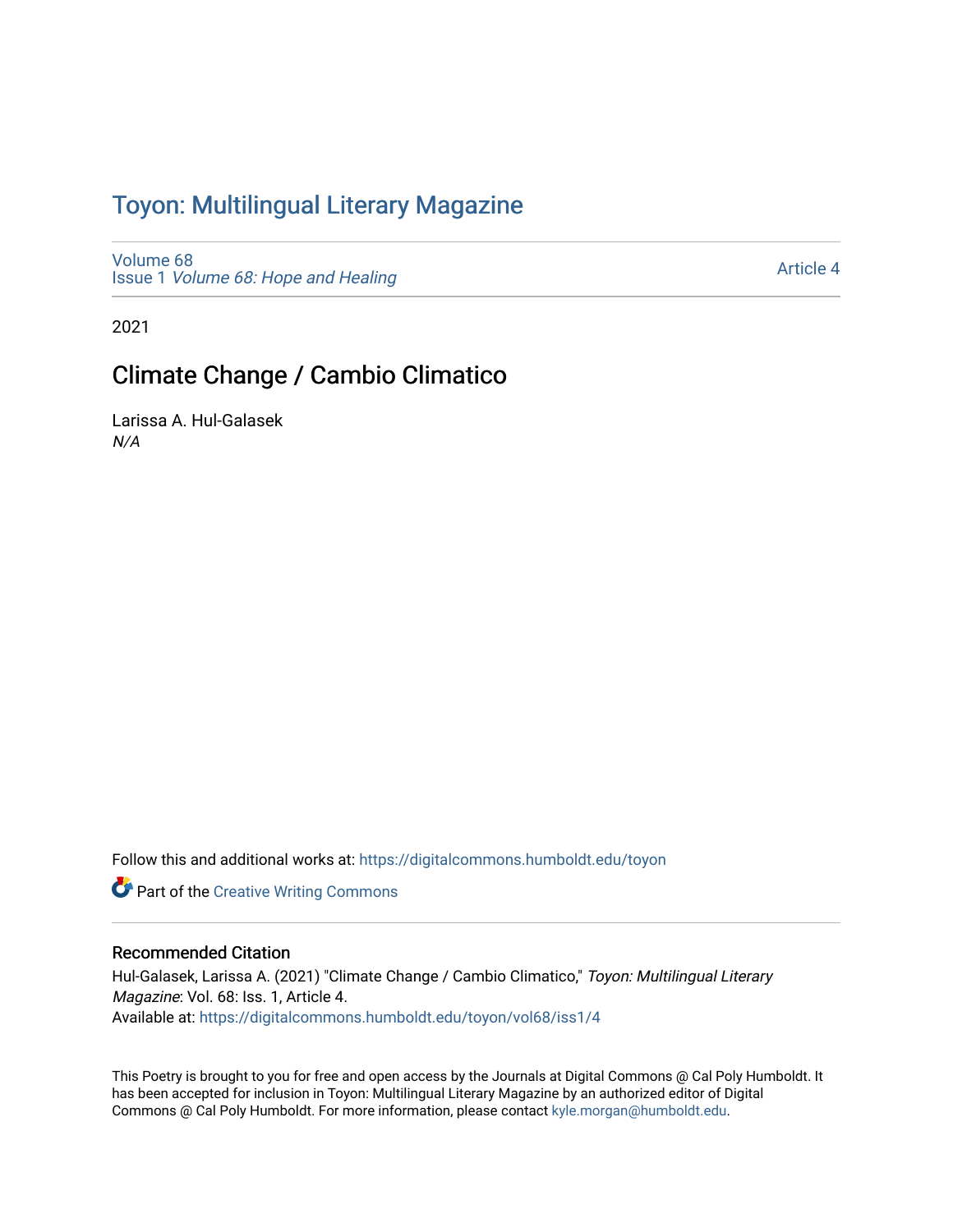#### Toyon: Multilingual Literar[y](https://digitalcommons.humboldt.edu/toyon) Magazine

[Volume 68](https://digitalcommons.humboldt.edu/toyon/vol68) Issue 1 [Volume 68: Hope and Healing](https://digitalcommons.humboldt.edu/toyon/vol68/iss1) 

[Article 4](https://digitalcommons.humboldt.edu/toyon/vol68/iss1/4) 

2021

## Climate Change / Cambio Climatico

Larissa A. Hul-Galasek N/A

Follow this and additional works at: [https://digitalcommons.humboldt.edu/toyon](https://digitalcommons.humboldt.edu/toyon?utm_source=digitalcommons.humboldt.edu%2Ftoyon%2Fvol68%2Fiss1%2F4&utm_medium=PDF&utm_campaign=PDFCoverPages)

**Part of the Creative Writing Commons** 

#### Recommended Citation

Hul-Galasek, Larissa A. (2021) "Climate Change / Cambio Climatico," Toyon: Multilingual Literary Magazine: Vol. 68: Iss. 1, Article 4. Available at: [https://digitalcommons.humboldt.edu/toyon/vol68/iss1/4](https://digitalcommons.humboldt.edu/toyon/vol68/iss1/4?utm_source=digitalcommons.humboldt.edu%2Ftoyon%2Fvol68%2Fiss1%2F4&utm_medium=PDF&utm_campaign=PDFCoverPages)

This Poetry is brought to you for free and open access by the Journals at Digital Commons @ Cal Poly Humboldt. It has been accepted for inclusion in Toyon: Multilingual Literary Magazine by an authorized editor of Digital Commons @ Cal Poly Humboldt. For more information, please contact [kyle.morgan@humboldt.edu](mailto:kyle.morgan@humboldt.edu).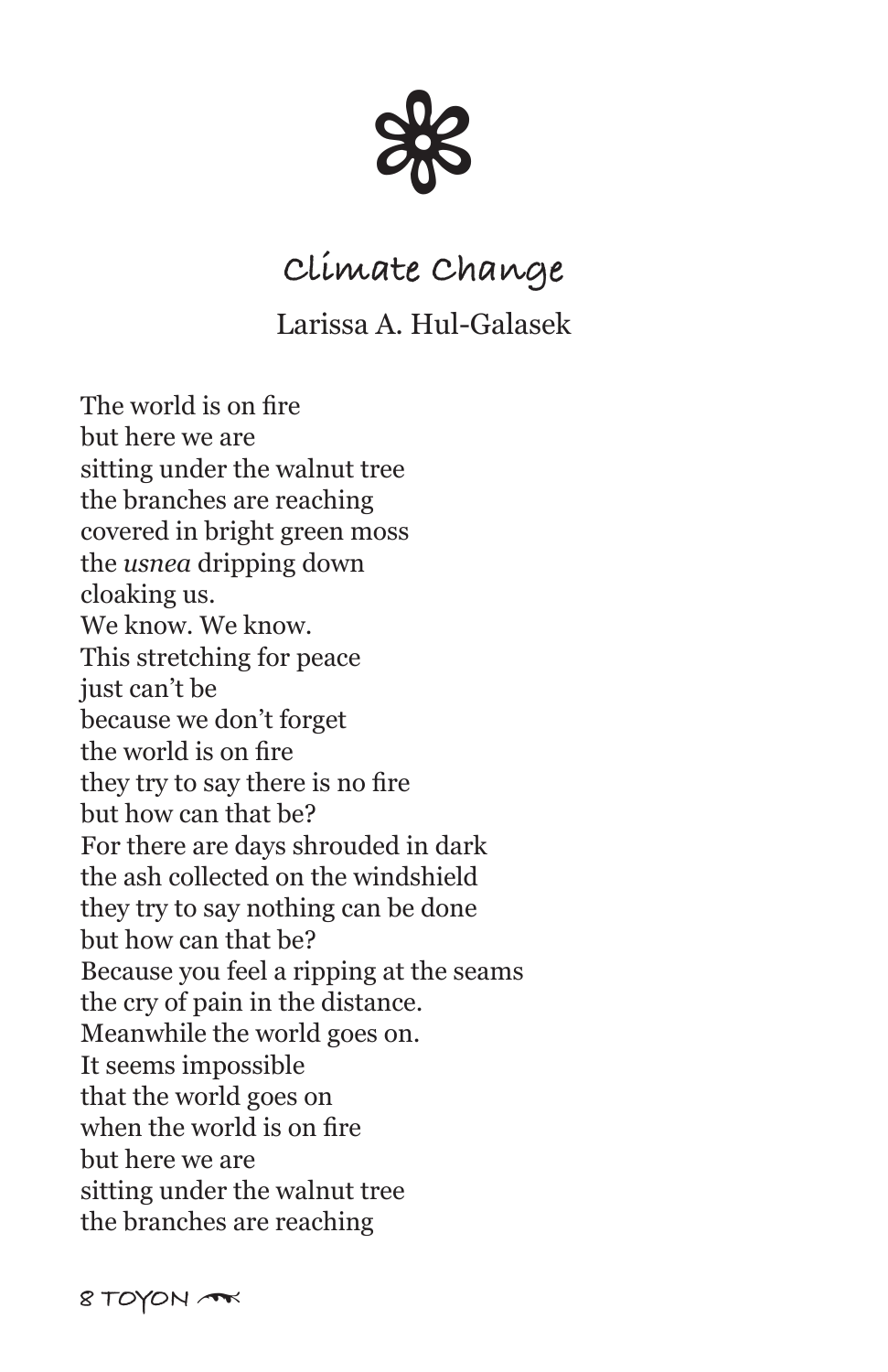

### **Climate Change**

#### Larissa A. Hul-Galasek

The world is on fire but here we are sitting under the walnut tree the branches are reaching covered in bright green moss the *usnea* dripping down cloaking us. We know. We know. This stretching for peace just can't be because we don't forget the world is on fire they try to say there is no fire but how can that be? For there are days shrouded in dark the ash collected on the windshield they try to say nothing can be done but how can that be? Because you feel a ripping at the seams the cry of pain in the distance. Meanwhile the world goes on. It seems impossible that the world goes on when the world is on fire but here we are sitting under the walnut tree the branches are reaching